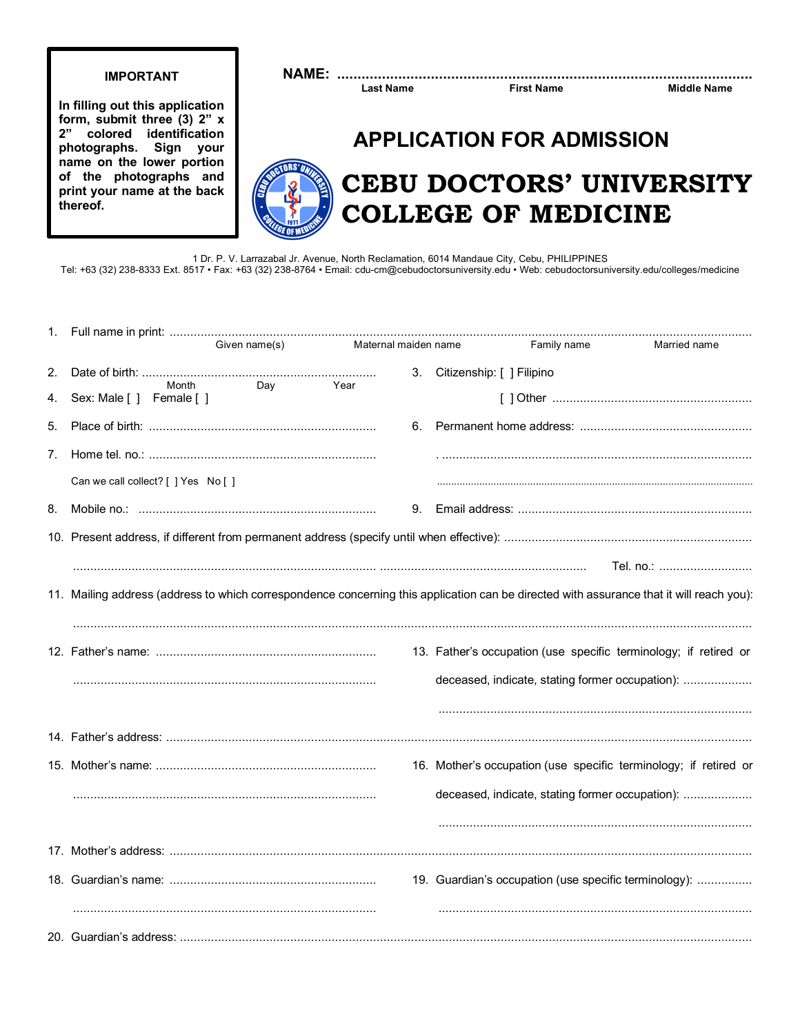### **IMPORTANT**

In filling out this application form, submit three (3) 2" x 2" colored identification photographs. Sign your name on the lower portion of the photographs and print your name at the back thereof.

### 

**Last Name** 

**First Name** 

**Middle Name** 

## **APPLICATION FOR ADMISSION**

# **CEBU DOCTORS' UNIVERSITY COLLEGE OF MEDICINE**

1 Dr. P. V. Larrazabal Jr. Avenue, North Reclamation, 6014 Mandaue City, Cebu, PHILIPPINES Tel: +63 (32) 238-8333 Ext. 8517 · Fax: +63 (32) 238-8764 · Email: cdu-cm@cebudoctorsuniversity.edu · Web: cebudoctorsuniversity.edu/colleges/medicine

|          |                                                                                                                                          | Given name(s) | Maternal maiden name |    |                              | Family name | Married name                                                     |  |
|----------|------------------------------------------------------------------------------------------------------------------------------------------|---------------|----------------------|----|------------------------------|-------------|------------------------------------------------------------------|--|
| 2.<br>4. | Month<br>Sex: Male [ ] Female [ ]                                                                                                        | Dav           | Year                 |    | 3. Citizenship: [ ] Filipino |             |                                                                  |  |
| 5.       |                                                                                                                                          |               |                      | 6. |                              |             |                                                                  |  |
| 7.       |                                                                                                                                          |               |                      |    |                              |             |                                                                  |  |
|          | Can we call collect? [ ] Yes No [ ]                                                                                                      |               |                      |    |                              |             |                                                                  |  |
| 8.       |                                                                                                                                          |               |                      | 9. |                              |             |                                                                  |  |
|          |                                                                                                                                          |               |                      |    |                              |             |                                                                  |  |
|          |                                                                                                                                          |               |                      |    |                              |             | Tel. no.:                                                        |  |
|          | 11. Mailing address (address to which correspondence concerning this application can be directed with assurance that it will reach you): |               |                      |    |                              |             |                                                                  |  |
|          |                                                                                                                                          |               |                      |    |                              |             | 13. Father's occupation (use specific terminology; if retired or |  |
|          |                                                                                                                                          |               |                      |    |                              |             | deceased, indicate, stating former occupation):                  |  |
|          |                                                                                                                                          |               |                      |    |                              |             |                                                                  |  |
|          |                                                                                                                                          |               |                      |    |                              |             | 16. Mother's occupation (use specific terminology; if retired or |  |
|          |                                                                                                                                          |               |                      |    |                              |             | deceased, indicate, stating former occupation):                  |  |
|          |                                                                                                                                          |               |                      |    |                              |             |                                                                  |  |
|          |                                                                                                                                          |               |                      |    |                              |             |                                                                  |  |
|          |                                                                                                                                          |               |                      |    |                              |             | 19. Guardian's occupation (use specific terminology):            |  |
|          |                                                                                                                                          |               |                      |    |                              |             |                                                                  |  |
|          |                                                                                                                                          |               |                      |    |                              |             |                                                                  |  |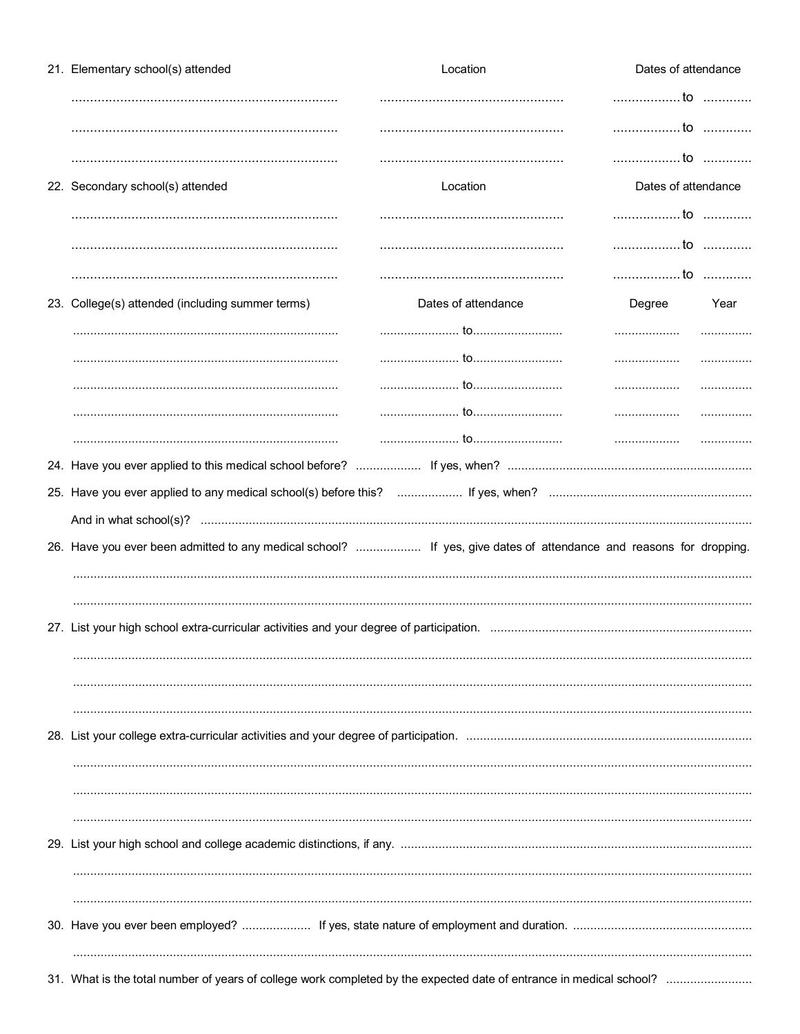| 21. Elementary school(s) attended                                                                                  | Location            |                     | Dates of attendance |  |
|--------------------------------------------------------------------------------------------------------------------|---------------------|---------------------|---------------------|--|
|                                                                                                                    |                     | to                  |                     |  |
|                                                                                                                    |                     | to                  |                     |  |
|                                                                                                                    |                     | to                  |                     |  |
| 22. Secondary school(s) attended                                                                                   | Location            | Dates of attendance |                     |  |
|                                                                                                                    |                     | to                  |                     |  |
|                                                                                                                    |                     | to                  |                     |  |
|                                                                                                                    |                     | to                  |                     |  |
| 23. College(s) attended (including summer terms)                                                                   | Dates of attendance | Degree              | Year                |  |
|                                                                                                                    |                     |                     |                     |  |
|                                                                                                                    |                     |                     | .                   |  |
|                                                                                                                    |                     | .                   |                     |  |
|                                                                                                                    |                     |                     |                     |  |
|                                                                                                                    |                     |                     |                     |  |
|                                                                                                                    |                     |                     |                     |  |
|                                                                                                                    |                     |                     |                     |  |
|                                                                                                                    |                     |                     |                     |  |
| 26. Have you ever been admitted to any medical school?  If yes, give dates of attendance and reasons for dropping. |                     |                     |                     |  |
|                                                                                                                    |                     |                     |                     |  |
|                                                                                                                    |                     |                     |                     |  |
|                                                                                                                    |                     |                     |                     |  |
|                                                                                                                    |                     |                     |                     |  |
|                                                                                                                    |                     |                     |                     |  |
|                                                                                                                    |                     |                     |                     |  |
|                                                                                                                    |                     |                     |                     |  |
|                                                                                                                    |                     |                     |                     |  |
|                                                                                                                    |                     |                     |                     |  |
|                                                                                                                    |                     |                     |                     |  |
|                                                                                                                    |                     |                     |                     |  |
|                                                                                                                    |                     |                     |                     |  |
|                                                                                                                    |                     |                     |                     |  |
|                                                                                                                    |                     |                     |                     |  |
|                                                                                                                    |                     |                     |                     |  |
|                                                                                                                    |                     |                     |                     |  |
|                                                                                                                    |                     |                     |                     |  |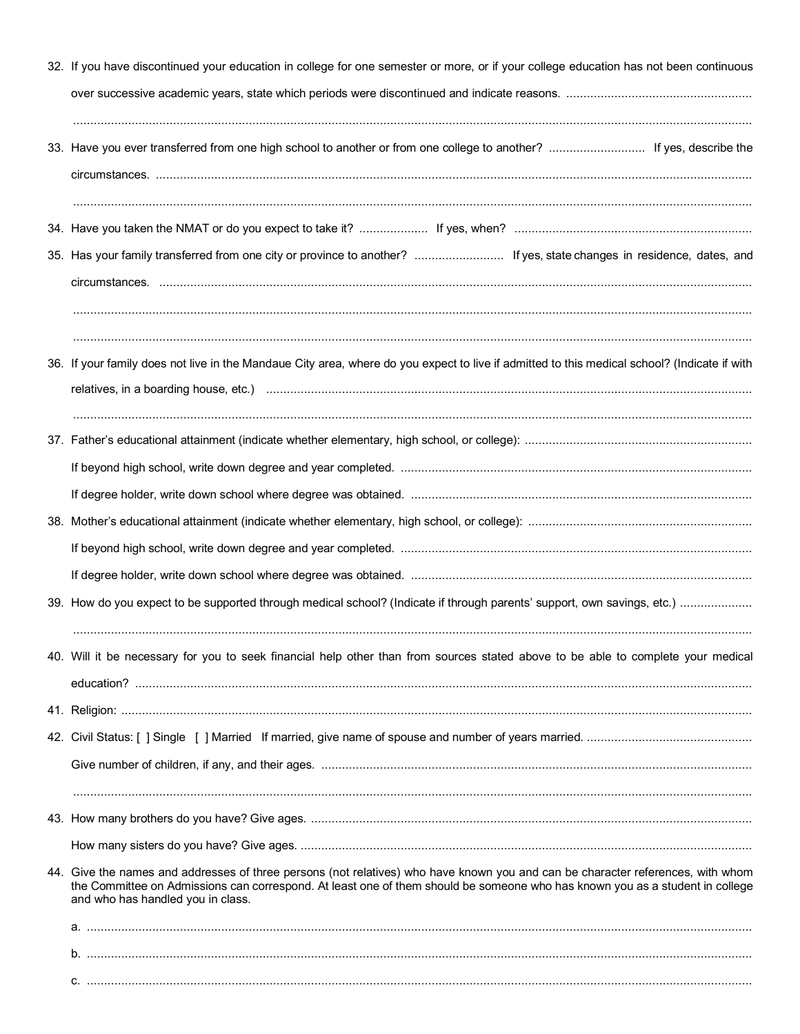| 32. If you have discontinued your education in college for one semester or more, or if your college education has not been continuous                                                                                                                                                                |  |  |  |  |  |
|------------------------------------------------------------------------------------------------------------------------------------------------------------------------------------------------------------------------------------------------------------------------------------------------------|--|--|--|--|--|
|                                                                                                                                                                                                                                                                                                      |  |  |  |  |  |
| 33. Have you ever transferred from one high school to another or from one college to another?  If yes, describe the                                                                                                                                                                                  |  |  |  |  |  |
|                                                                                                                                                                                                                                                                                                      |  |  |  |  |  |
| 35. Has your family transferred from one city or province to another?  If yes, state changes in residence, dates, and                                                                                                                                                                                |  |  |  |  |  |
|                                                                                                                                                                                                                                                                                                      |  |  |  |  |  |
| 36. If your family does not live in the Mandaue City area, where do you expect to live if admitted to this medical school? (Indicate if with                                                                                                                                                         |  |  |  |  |  |
|                                                                                                                                                                                                                                                                                                      |  |  |  |  |  |
|                                                                                                                                                                                                                                                                                                      |  |  |  |  |  |
|                                                                                                                                                                                                                                                                                                      |  |  |  |  |  |
|                                                                                                                                                                                                                                                                                                      |  |  |  |  |  |
|                                                                                                                                                                                                                                                                                                      |  |  |  |  |  |
|                                                                                                                                                                                                                                                                                                      |  |  |  |  |  |
|                                                                                                                                                                                                                                                                                                      |  |  |  |  |  |
| 40. Will it be necessary for you to seek financial help other than from sources stated above to be able to complete your medical                                                                                                                                                                     |  |  |  |  |  |
|                                                                                                                                                                                                                                                                                                      |  |  |  |  |  |
|                                                                                                                                                                                                                                                                                                      |  |  |  |  |  |
|                                                                                                                                                                                                                                                                                                      |  |  |  |  |  |
|                                                                                                                                                                                                                                                                                                      |  |  |  |  |  |
| 44. Give the names and addresses of three persons (not relatives) who have known you and can be character references, with whom<br>the Committee on Admissions can correspond. At least one of them should be someone who has known you as a student in college<br>and who has handled you in class. |  |  |  |  |  |
|                                                                                                                                                                                                                                                                                                      |  |  |  |  |  |
|                                                                                                                                                                                                                                                                                                      |  |  |  |  |  |
|                                                                                                                                                                                                                                                                                                      |  |  |  |  |  |